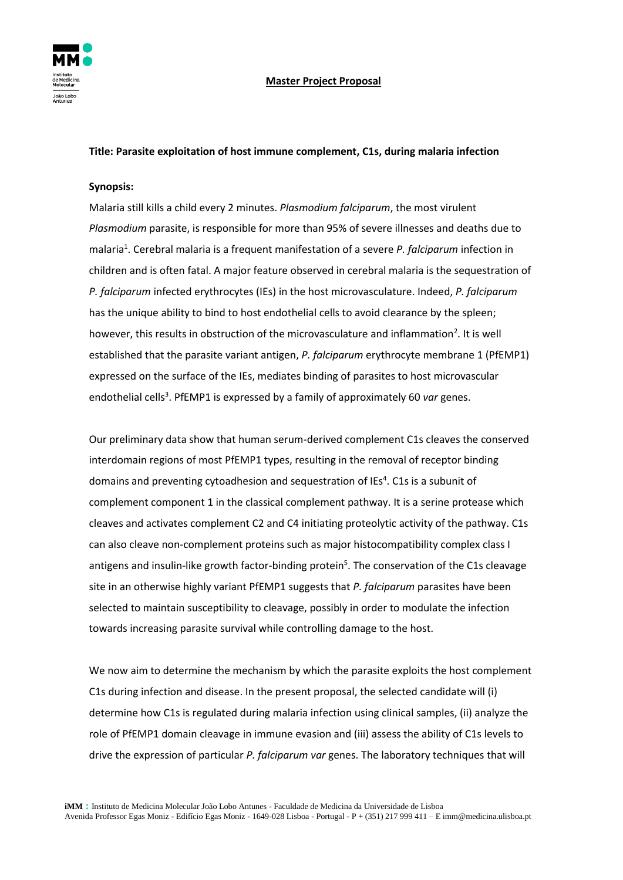

## **Master Project Proposal**

### **Title: Parasite exploitation of host immune complement, C1s, during malaria infection**

#### **Synopsis:**

Malaria still kills a child every 2 minutes. *Plasmodium falciparum*, the most virulent *Plasmodium* parasite, is responsible for more than 95% of severe illnesses and deaths due to malaria<sup>1</sup>. Cerebral malaria is a frequent manifestation of a severe *P. falciparum* infection in children and is often fatal. A major feature observed in cerebral malaria is the sequestration of *P. falciparum* infected erythrocytes (IEs) in the host microvasculature. Indeed, *P. falciparum* has the unique ability to bind to host endothelial cells to avoid clearance by the spleen; however, this results in obstruction of the microvasculature and inflammation<sup>2</sup>. It is well established that the parasite variant antigen, *P. falciparum* erythrocyte membrane 1 (PfEMP1) expressed on the surface of the IEs, mediates binding of parasites to host microvascular endothelial cells<sup>3</sup>. PfEMP1 is expressed by a family of approximately 60 var genes.

Our preliminary data show that human serum-derived complement C1s cleaves the conserved interdomain regions of most PfEMP1 types, resulting in the removal of receptor binding domains and preventing cytoadhesion and sequestration of IEs<sup>4</sup>. C1s is a subunit of complement component 1 in the classical complement pathway. It is a serine protease which cleaves and activates complement C2 and C4 initiating proteolytic activity of the pathway. C1s can also cleave non-complement proteins such as major histocompatibility complex class I antigens and insulin-like growth factor-binding protein<sup>5</sup>. The conservation of the C1s cleavage site in an otherwise highly variant PfEMP1 suggests that *P. falciparum* parasites have been selected to maintain susceptibility to cleavage, possibly in order to modulate the infection towards increasing parasite survival while controlling damage to the host.

We now aim to determine the mechanism by which the parasite exploits the host complement C1s during infection and disease. In the present proposal, the selected candidate will (i) determine how C1s is regulated during malaria infection using clinical samples, (ii) analyze the role of PfEMP1 domain cleavage in immune evasion and (iii) assess the ability of C1s levels to drive the expression of particular *P. falciparum var* genes. The laboratory techniques that will